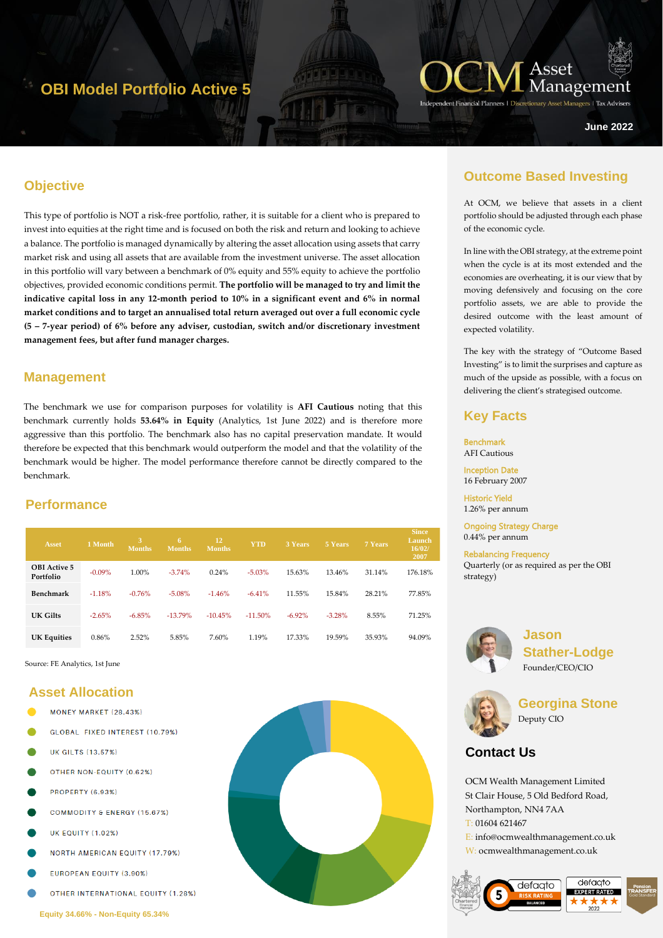# **OBI Model Portfolio Active 5**



**June 2022**

# **Objective**

This type of portfolio is NOT a risk-free portfolio, rather, it is suitable for a client who is prepared to invest into equities at the right time and is focused on both the risk and return and looking to achieve a balance. The portfolio is managed dynamically by altering the asset allocation using assets that carry market risk and using all assets that are available from the investment universe. The asset allocation in this portfolio will vary between a benchmark of 0% equity and 55% equity to achieve the portfolio objectives, provided economic conditions permit. **The portfolio will be managed to try and limit the indicative capital loss in any 12-month period to 10% in a significant event and 6% in normal market conditions and to target an annualised total return averaged out over a full economic cycle (5 – 7-year period) of 6% before any adviser, custodian, switch and/or discretionary investment management fees, but after fund manager charges.** 

#### **Management**

The benchmark we use for comparison purposes for volatility is **AFI Cautious** noting that this benchmark currently holds **53.64% in Equity** (Analytics, 1st June 2022) and is therefore more aggressive than this portfolio. The benchmark also has no capital preservation mandate. It would therefore be expected that this benchmark would outperform the model and that the volatility of the benchmark would be higher. The model performance therefore cannot be directly compared to the benchmark.

## **Performance**

| <b>Asset</b>                     | 1 Month   | 3<br>Months. | 6<br>Months. | 12<br><b>Months</b> | <b>YTD</b> | 3 Years   | 5 Years  | 7 Years | <b>Since</b><br>Launch<br>16/02/<br>2007 |
|----------------------------------|-----------|--------------|--------------|---------------------|------------|-----------|----------|---------|------------------------------------------|
| <b>OBI</b> Active 5<br>Portfolio | $-0.09\%$ | 1.00%        | $-3.74%$     | 0.24%               | $-5.03\%$  | 15.63%    | 13.46%   | 31.14%  | 176.18%                                  |
| Benchmark                        | $-1.18%$  | $-0.76%$     | $-5.08%$     | $-1.46%$            | $-6.41%$   | 11.55%    | 15.84%   | 28.21%  | 77.85%                                   |
| UK Gilts                         | $-2.65%$  | $-6.85%$     | $-13.79%$    | $-10.45%$           | $-11.50\%$ | $-6.92\%$ | $-3.28%$ | 8.55%   | 71.25%                                   |
| <b>UK Equities</b>               | 0.86%     | 2.52%        | 5.85%        | 7.60%               | 1.19%      | 17.33%    | 19.59%   | 35.93%  | 94.09%                                   |

Source: FE Analytics, 1st June

# **Asset Allocation**

- MONEY MARKET (28.43%)
- GLOBAL FIXED INTEREST (10.79%)
- **UK GILTS (13.57%)**
- OTHER NON-EQUITY (0.62%)
- **PROPERTY (6.93%)**
- COMMODITY & ENERGY (15.67%)
- **UK EQUITY (1.02%)**
- **NORTH AMERICAN EQUITY (17.79%)**
- EUROPEAN EQUITY (3.90%)
- **OTHER INTERNATIONAL EQUITY (1.28%)**



## **Outcome Based Investing**

At OCM, we believe that assets in a client portfolio should be adjusted through each phase of the economic cycle.

In line with the OBI strategy, at the extreme point when the cycle is at its most extended and the economies are overheating, it is our view that by moving defensively and focusing on the core portfolio assets, we are able to provide the desired outcome with the least amount of expected volatility.

The key with the strategy of "Outcome Based Investing" is to limit the surprises and capture as much of the upside as possible, with a focus on delivering the client's strategised outcome.

### **Key Facts**

Benchmark AFI Cautious Inception Date

16 February 2007

Historic Yield 1.26% per annum

Ongoing Strategy Charge 0.44% per annum

Rebalancing Frequency Quarterly (or as required as per the OBI strategy)



**Jason Stather-Lodge** Founder/CEO/CIO



**Georgina Stone** Deputy CIO

# **Contact Us**

OCM Wealth Management Limited St Clair House, 5 Old Bedford Road, Northampton, NN4 7AA T: 01604 621467 E: info@ocmwealthmanagement.co.uk W: ocmwealthmanagement.co.uk